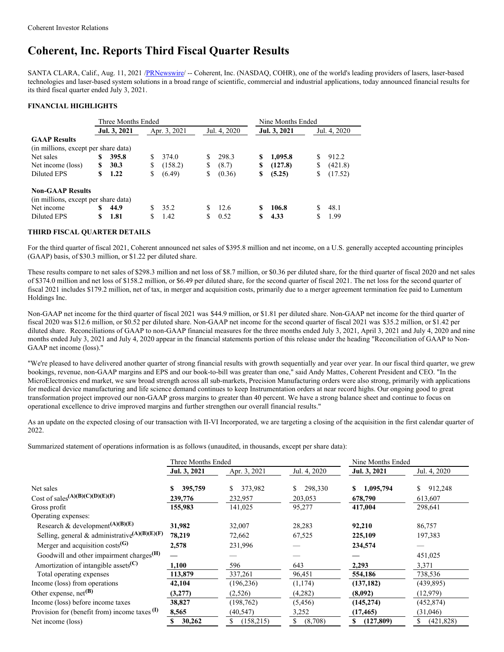# **Coherent, Inc. Reports Third Fiscal Quarter Results**

SANTA CLARA, Calif., Aug. 11, 2021 [/PRNewswire](http://www.prnewswire.com/)/ -- Coherent, Inc. (NASDAQ, COHR), one of the world's leading providers of lasers, laser-based technologies and laser-based system solutions in a broad range of scientific, commercial and industrial applications, today announced financial results for its third fiscal quarter ended July 3, 2021.

# **FINANCIAL HIGHLIGHTS**

|                                      | Three Months Ended |              |   |              |    | Nine Months Ended |    |              |    |              |
|--------------------------------------|--------------------|--------------|---|--------------|----|-------------------|----|--------------|----|--------------|
|                                      |                    | Jul. 3, 2021 |   | Apr. 3, 2021 |    | Jul. 4, 2020      |    | Jul. 3, 2021 |    | Jul. 4, 2020 |
| <b>GAAP Results</b>                  |                    |              |   |              |    |                   |    |              |    |              |
| (in millions, except per share data) |                    |              |   |              |    |                   |    |              |    |              |
| Net sales                            | \$                 | 395.8        | S | 374.0        | \$ | 298.3             | S  | 1,095.8      | S  | 912.2        |
| Net income (loss)                    | \$                 | 30.3         | S | (158.2)      | \$ | (8.7)             | \$ | (127.8)      | \$ | (421.8)      |
| Diluted EPS                          | S                  | 1.22         | S | (6.49)       | \$ | (0.36)            | \$ | (5.25)       | S  | (17.52)      |
| <b>Non-GAAP Results</b>              |                    |              |   |              |    |                   |    |              |    |              |
| (in millions, except per share data) |                    |              |   |              |    |                   |    |              |    |              |
| Net income                           |                    | 44.9         |   | 35.2         |    | 12.6              | \$ | 106.8        |    | 48.1         |
| Diluted EPS                          |                    | 1.81         |   | 1.42         |    | 0.52              | \$ | 4.33         |    | 1.99         |

# **THIRD FISCAL QUARTER DETAILS**

For the third quarter of fiscal 2021, Coherent announced net sales of \$395.8 million and net income, on a U.S. generally accepted accounting principles (GAAP) basis, of \$30.3 million, or \$1.22 per diluted share.

These results compare to net sales of \$298.3 million and net loss of \$8.7 million, or \$0.36 per diluted share, for the third quarter of fiscal 2020 and net sales of \$374.0 million and net loss of \$158.2 million, or \$6.49 per diluted share, for the second quarter of fiscal 2021. The net loss for the second quarter of fiscal 2021 includes \$179.2 million, net of tax, in merger and acquisition costs, primarily due to a merger agreement termination fee paid to Lumentum Holdings Inc.

Non-GAAP net income for the third quarter of fiscal 2021 was \$44.9 million, or \$1.81 per diluted share. Non-GAAP net income for the third quarter of fiscal 2020 was \$12.6 million, or \$0.52 per diluted share. Non-GAAP net income for the second quarter of fiscal 2021 was \$35.2 million, or \$1.42 per diluted share. Reconciliations of GAAP to non-GAAP financial measures for the three months ended July 3, 2021, April 3, 2021 and July 4, 2020 and nine months ended July 3, 2021 and July 4, 2020 appear in the financial statements portion of this release under the heading "Reconciliation of GAAP to Non-GAAP net income (loss)."

"We're pleased to have delivered another quarter of strong financial results with growth sequentially and year over year. In our fiscal third quarter, we grew bookings, revenue, non-GAAP margins and EPS and our book-to-bill was greater than one," said Andy Mattes, Coherent President and CEO. "In the MicroElectronics end market, we saw broad strength across all sub-markets, Precision Manufacturing orders were also strong, primarily with applications for medical device manufacturing and life science demand continues to keep Instrumentation orders at near record highs. Our ongoing good to great transformation project improved our non-GAAP gross margins to greater than 40 percent. We have a strong balance sheet and continue to focus on operational excellence to drive improved margins and further strengthen our overall financial results."

As an update on the expected closing of our transaction with II-VI Incorporated, we are targeting a closing of the acquisition in the first calendar quarter of 2022.

Summarized statement of operations information is as follows (unaudited, in thousands, except per share data):

|                                                           | Three Months Ended |                 |               | Nine Months Ended |               |
|-----------------------------------------------------------|--------------------|-----------------|---------------|-------------------|---------------|
|                                                           | Jul. 3, 2021       | Apr. 3, 2021    | Jul. 4, 2020  | Jul. 3, 2021      | Jul. 4, 2020  |
| Net sales                                                 | 395,759            | 373,982<br>S.   | 298,330       | 1,095,794<br>\$   | 912,248<br>\$ |
| Cost of sales $(A)(B)(C)(D)(E)(F)$                        | 239,776            | 232,957         | 203,053       | 678,790           | 613,607       |
| Gross profit                                              | 155,983            | 141,025         | 95,277        | 417,004           | 298,641       |
| Operating expenses:                                       |                    |                 |               |                   |               |
| Research & development <sup>(A)(B)(E)</sup>               | 31,982             | 32,007          | 28,283        | 92,210            | 86,757        |
| Selling, general & administrative <sup>(A)(B)(E)(F)</sup> | 78,219             | 72,662          | 67,525        | 225,109           | 197,383       |
| Merger and acquisition $costs$ <sup>(G)</sup>             | 2,578              | 231,996         |               | 234,574           |               |
| Goodwill and other impairment charges $(H)$               |                    |                 |               |                   | 451,025       |
| Amortization of intangible assets <sup>(C)</sup>          | 1,100              | 596             | 643           | 2,293             | 3,371         |
| Total operating expenses                                  | 113,879            | 337,261         | 96,451        | 554,186           | 738,536       |
| Income (loss) from operations                             | 42,104             | (196, 236)      | (1,174)       | (137, 182)        | (439, 895)    |
| Other expense, $net^{(B)}$                                | (3,277)            | (2,526)         | (4,282)       | (8,092)           | (12,979)      |
| Income (loss) before income taxes                         | 38,827             | (198, 762)      | (5,456)       | (145, 274)        | (452, 874)    |
| Provision for (benefit from) income taxes $(1)$           | 8,565              | (40, 547)       | 3,252         | (17, 465)         | (31,046)      |
| Net income (loss)                                         | 30,262             | \$<br>(158,215) | \$<br>(8,708) | (127, 809)        | (421, 828)    |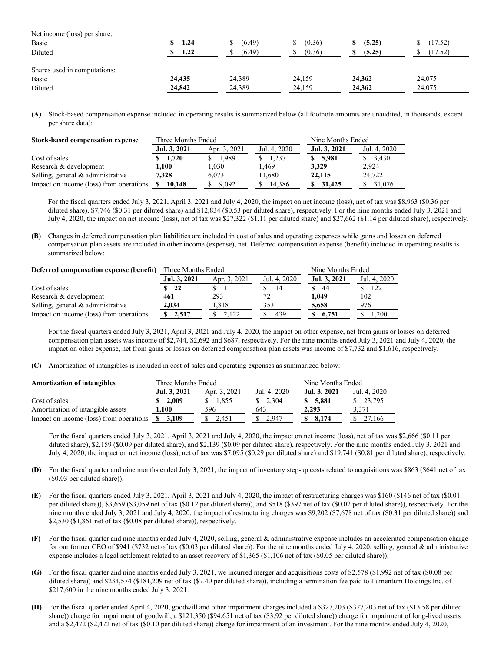| Net income (loss) per share: |        |        |        |        |         |
|------------------------------|--------|--------|--------|--------|---------|
| Basic                        | 1.24   | (6.49) | (0.36) | (5.25) | 17.52)  |
| Diluted                      | 1.22   | (6.49) | (0.36) | (5.25) | (17.52) |
|                              |        |        |        |        |         |
| Shares used in computations: |        |        |        |        |         |
| Basic                        | 24,435 | 24.389 | 24.159 | 24.362 | 24,075  |
| Diluted                      | 24,842 | 24,389 | 24,159 | 24,362 | 24,075  |

**(A)** Stock-based compensation expense included in operating results is summarized below (all footnote amounts are unaudited, in thousands, except per share data):

| Stock-based compensation expense        | Three Months Ended |              | Nine Months Ended |              |              |
|-----------------------------------------|--------------------|--------------|-------------------|--------------|--------------|
|                                         | Jul. 3, 2021       | Apr. 3, 2021 | Jul. 4, 2020      | Jul. 3, 2021 | Jul. 4, 2020 |
| Cost of sales                           | \$1,720            | \$1.989      | \$1,237           | 5.981        | \$3,430      |
| Research & development                  | 1.100              | 1.030        | 1.469             | 3.329        | 2.924        |
| Selling, general $\&$ administrative    | 7.328              | 6.073        | 11.680            | 22,115       | 24.722       |
| Impact on income (loss) from operations | 10.148<br>S        | 9.092        | 14.386            | 31,425       | \$31,076     |

For the fiscal quarters ended July 3, 2021, April 3, 2021 and July 4, 2020, the impact on net income (loss), net of tax was \$8,963 (\$0.36 per diluted share), \$7,746 (\$0.31 per diluted share) and \$12,834 (\$0.53 per diluted share), respectively. For the nine months ended July 3, 2021 and July 4, 2020, the impact on net income (loss), net of tax was \$27,322 (\$1.11 per diluted share) and \$27,662 (\$1.14 per diluted share), respectively.

**(B)** Changes in deferred compensation plan liabilities are included in cost of sales and operating expenses while gains and losses on deferred compensation plan assets are included in other income (expense), net. Deferred compensation expense (benefit) included in operating results is summarized below:

## **Deferred compensation expense (benefit)** Three Months Ended Nine Months Ended **Jul. 3, 2021** Apr. 3, 2021 Jul. 4, 2020 **Jul. 3, 2021** Jul. 4, 2020 Cost of sales **\$ 22** \$ 11 \$ 14 **\$ 44** \$ 122 Research & development **461** 293 72 **1,049** 102 Selling, general & administrative **2,034** 1,818 353 **5,658** 976 Impact on income (loss) from operations **\$ 2,517** \$ 2,122 \$ 439 **\$ 6,751** \$ 1,200

For the fiscal quarters ended July 3, 2021, April 3, 2021 and July 4, 2020, the impact on other expense, net from gains or losses on deferred compensation plan assets was income of \$2,744, \$2,692 and \$687, respectively. For the nine months ended July 3, 2021 and July 4, 2020, the impact on other expense, net from gains or losses on deferred compensation plan assets was income of \$7,732 and \$1,616, respectively.

**(C)** Amortization of intangibles is included in cost of sales and operating expenses as summarized below:

| <b>Amortization of intangibles</b>      | Three Months Ended                |              | Nine Months Ended |              |              |
|-----------------------------------------|-----------------------------------|--------------|-------------------|--------------|--------------|
|                                         | Jul. 3, 2021                      | Apr. 3, 2021 | Jul. 4, 2020      | Jul. 3, 2021 | Jul. 4, 2020 |
| Cost of sales                           | $\frac{\text{S}}{\text{S}}$ 2.009 | 1.855<br>S.  | 2.304<br>S.       | \$5,881      | \$23,795     |
| Amortization of intangible assets       | 1.100                             | 596          | 643               | 2.293        | 3.371        |
| Impact on income (loss) from operations | 3.109<br>$\mathbf{s}$             | 2.451        | 2.947             | 8,174<br>S.  | 27,166       |

For the fiscal quarters ended July 3, 2021, April 3, 2021 and July 4, 2020, the impact on net income (loss), net of tax was \$2,666 (\$0.11 per diluted share), \$2,159 (\$0.09 per diluted share), and \$2,139 (\$0.09 per diluted share), respectively. For the nine months ended July 3, 2021 and July 4, 2020, the impact on net income (loss), net of tax was \$7,095 (\$0.29 per diluted share) and \$19,741 (\$0.81 per diluted share), respectively.

- **(D)** For the fiscal quarter and nine months ended July 3, 2021, the impact of inventory step-up costs related to acquisitions was \$863 (\$641 net of tax (\$0.03 per diluted share)).
- **(E)** For the fiscal quarters ended July 3, 2021, April 3, 2021 and July 4, 2020, the impact of restructuring charges was \$160 (\$146 net of tax (\$0.01 per diluted share)), \$3,659 (\$3,059 net of tax (\$0.12 per diluted share)), and \$518 (\$397 net of tax (\$0.02 per diluted share)), respectively. For the nine months ended July 3, 2021 and July 4, 2020, the impact of restructuring charges was \$9,202 (\$7,678 net of tax (\$0.31 per diluted share)) and \$2,530 (\$1,861 net of tax (\$0.08 per diluted share)), respectively.
- **(F)** For the fiscal quarter and nine months ended July 4, 2020, selling, general & administrative expense includes an accelerated compensation charge for our former CEO of \$941 (\$732 net of tax (\$0.03 per diluted share)). For the nine months ended July 4, 2020, selling, general & administrative expense includes a legal settlement related to an asset recovery of \$1,365 (\$1,106 net of tax (\$0.05 per diluted share)).
- **(G)** For the fiscal quarter and nine months ended July 3, 2021, we incurred merger and acquisitions costs of \$2,578 (\$1,992 net of tax (\$0.08 per diluted share)) and \$234,574 (\$181,209 net of tax (\$7.40 per diluted share)), including a termination fee paid to Lumentum Holdings Inc. of \$217,600 in the nine months ended July 3, 2021.
- **(H)** For the fiscal quarter ended April 4, 2020, goodwill and other impairment charges included a \$327,203 (\$327,203 net of tax (\$13.58 per diluted share)) charge for impairment of goodwill, a \$121,350 (\$94,651 net of tax (\$3.92 per diluted share)) charge for impairment of long-lived assets and a \$2,472 (\$2,472 net of tax (\$0.10 per diluted share)) charge for impairment of an investment. For the nine months ended July 4, 2020,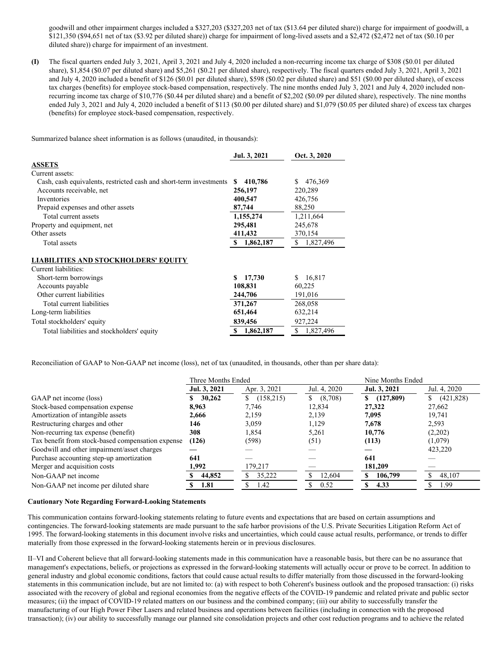goodwill and other impairment charges included a \$327,203 (\$327,203 net of tax (\$13.64 per diluted share)) charge for impairment of goodwill, a \$121,350 (\$94,651 net of tax (\$3.92 per diluted share)) charge for impairment of long-lived assets and a \$2,472 (\$2,472 net of tax (\$0.10 per diluted share)) charge for impairment of an investment.

**(I)** The fiscal quarters ended July 3, 2021, April 3, 2021 and July 4, 2020 included a non-recurring income tax charge of \$308 (\$0.01 per diluted share), \$1,854 (\$0.07 per diluted share) and \$5,261 (\$0.21 per diluted share), respectively. The fiscal quarters ended July 3, 2021, April 3, 2021 and July 4, 2020 included a benefit of \$126 (\$0.01 per diluted share), \$598 (\$0.02 per diluted share) and \$51 (\$0.00 per diluted share), of excess tax charges (benefits) for employee stock-based compensation, respectively. The nine months ended July 3, 2021 and July 4, 2020 included nonrecurring income tax charge of \$10,776 (\$0.44 per diluted share) and a benefit of \$2,202 (\$0.09 per diluted share), respectively. The nine months ended July 3, 2021 and July 4, 2020 included a benefit of \$113 (\$0.00 per diluted share) and \$1,079 (\$0.05 per diluted share) of excess tax charges (benefits) for employee stock-based compensation, respectively.

Summarized balance sheet information is as follows (unaudited, in thousands):

|                                                                    | Jul. 3, 2021   | Oct. 3, 2020    |
|--------------------------------------------------------------------|----------------|-----------------|
| <b>ASSETS</b>                                                      |                |                 |
| Current assets:                                                    |                |                 |
| Cash, cash equivalents, restricted cash and short-term investments | 410,786<br>S   | 476,369<br>S    |
| Accounts receivable, net                                           | 256,197        | 220,289         |
| Inventories                                                        | 400,547        | 426,756         |
| Prepaid expenses and other assets                                  | 87,744         | 88,250          |
| Total current assets                                               | 1,155,274      | 1,211,664       |
| Property and equipment, net                                        | 295,481        | 245,678         |
| Other assets                                                       | 411,432        | 370,154         |
| Total assets                                                       | S<br>1,862,187 | \$<br>1,827,496 |
| <b>LIABILITIES AND STOCKHOLDERS' EQUITY</b>                        |                |                 |
| Current liabilities:                                               |                |                 |
| Short-term borrowings                                              | 17,730<br>S    | 16,817<br>S.    |
| Accounts payable                                                   | 108,831        | 60,225          |
| Other current liabilities                                          | 244,706        | 191,016         |
| Total current liabilities                                          | 371,267        | 268,058         |
| Long-term liabilities                                              | 651,464        | 632,214         |
| Total stockholders' equity                                         | 839,456        | 927,224         |
| Total liabilities and stockholders' equity                         | S<br>1,862,187 | \$<br>1,827,496 |

Reconciliation of GAAP to Non-GAAP net income (loss), net of tax (unaudited, in thousands, other than per share data):

|                                                   | Three Months Ended |                  |               | Nine Months Ended |                  |
|---------------------------------------------------|--------------------|------------------|---------------|-------------------|------------------|
|                                                   | Jul. 3, 2021       | Apr. 3, 2021     | Jul. 4, 2020  | Jul. 3, 2021      | Jul. 4, 2020     |
| GAAP net income (loss)                            | 30,262             | (158, 215)<br>S. | (8,708)<br>S. | (127, 809)<br>S   | (421, 828)<br>S. |
| Stock-based compensation expense                  | 8.963              | 7.746            | 12.834        | 27,322            | 27,662           |
| Amortization of intangible assets                 | 2.666              | 2,159            | 2,139         | 7.095             | 19.741           |
| Restructuring charges and other                   | 146                | 3,059            | 1.129         | 7,678             | 2,593            |
| Non-recurring tax expense (benefit)               | 308                | 1,854            | 5,261         | 10,776            | (2,202)          |
| Tax benefit from stock-based compensation expense | (126)              | (598)            | (51)          | (113)             | (1,079)          |
| Goodwill and other impairment/asset charges       |                    |                  |               |                   | 423,220          |
| Purchase accounting step-up amortization          | 641                |                  |               | 641               |                  |
| Merger and acquisition costs                      | 1.992              | 179.217          |               | 181,209           |                  |
| Non-GAAP net income                               | 44,852             | 35,222           | 12,604        | 106,799           | 48,107           |
| Non-GAAP net income per diluted share             | 1.81               | 1.42             | 0.52          | 4.33              | 1.99             |

### **Cautionary Note Regarding Forward-Looking Statements**

This communication contains forward-looking statements relating to future events and expectations that are based on certain assumptions and contingencies. The forward-looking statements are made pursuant to the safe harbor provisions of the U.S. Private Securities Litigation Reform Act of 1995. The forward-looking statements in this document involve risks and uncertainties, which could cause actual results, performance, or trends to differ materially from those expressed in the forward-looking statements herein or in previous disclosures.

II–VI and Coherent believe that all forward-looking statements made in this communication have a reasonable basis, but there can be no assurance that management's expectations, beliefs, or projections as expressed in the forward-looking statements will actually occur or prove to be correct. In addition to general industry and global economic conditions, factors that could cause actual results to differ materially from those discussed in the forward-looking statements in this communication include, but are not limited to: (a) with respect to both Coherent's business outlook and the proposed transaction: (i) risks associated with the recovery of global and regional economies from the negative effects of the COVID-19 pandemic and related private and public sector measures; (ii) the impact of COVID-19 related matters on our business and the combined company; (iii) our ability to successfully transfer the manufacturing of our High Power Fiber Lasers and related business and operations between facilities (including in connection with the proposed transaction); (iv) our ability to successfully manage our planned site consolidation projects and other cost reduction programs and to achieve the related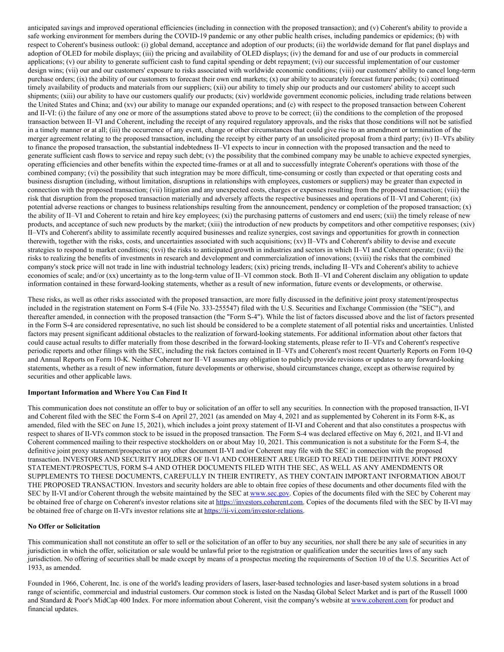anticipated savings and improved operational efficiencies (including in connection with the proposed transaction); and (v) Coherent's ability to provide a safe working environment for members during the COVID-19 pandemic or any other public health crises, including pandemics or epidemics; (b) with respect to Coherent's business outlook: (i) global demand, acceptance and adoption of our products; (ii) the worldwide demand for flat panel displays and adoption of OLED for mobile displays; (iii) the pricing and availability of OLED displays; (iv) the demand for and use of our products in commercial applications; (v) our ability to generate sufficient cash to fund capital spending or debt repayment; (vi) our successful implementation of our customer design wins; (vii) our and our customers' exposure to risks associated with worldwide economic conditions; (viii) our customers' ability to cancel long-term purchase orders; (ix) the ability of our customers to forecast their own end markets; (x) our ability to accurately forecast future periods; (xi) continued timely availability of products and materials from our suppliers; (xii) our ability to timely ship our products and our customers' ability to accept such shipments; (xiii) our ability to have our customers qualify our products; (xiv) worldwide government economic policies, including trade relations between the United States and China; and (xv) our ability to manage our expanded operations; and (c) with respect to the proposed transaction between Coherent and II-VI: (i) the failure of any one or more of the assumptions stated above to prove to be correct; (ii) the conditions to the completion of the proposed transaction between II–VI and Coherent, including the receipt of any required regulatory approvals, and the risks that those conditions will not be satisfied in a timely manner or at all; (iii) the occurrence of any event, change or other circumstances that could give rise to an amendment or termination of the merger agreement relating to the proposed transaction, including the receipt by either party of an unsolicited proposal from a third party; (iv) II–VI's ability to finance the proposed transaction, the substantial indebtedness II–VI expects to incur in connection with the proposed transaction and the need to generate sufficient cash flows to service and repay such debt; (v) the possibility that the combined company may be unable to achieve expected synergies, operating efficiencies and other benefits within the expected time-frames or at all and to successfully integrate Coherent's operations with those of the combined company; (vi) the possibility that such integration may be more difficult, time-consuming or costly than expected or that operating costs and business disruption (including, without limitation, disruptions in relationships with employees, customers or suppliers) may be greater than expected in connection with the proposed transaction; (vii) litigation and any unexpected costs, charges or expenses resulting from the proposed transaction; (viii) the risk that disruption from the proposed transaction materially and adversely affects the respective businesses and operations of II–VI and Coherent; (ix) potential adverse reactions or changes to business relationships resulting from the announcement, pendency or completion of the proposed transaction; (x) the ability of II–VI and Coherent to retain and hire key employees; (xi) the purchasing patterns of customers and end users; (xii) the timely release of new products, and acceptance of such new products by the market; (xiii) the introduction of new products by competitors and other competitive responses; (xiv) II–VI's and Coherent's ability to assimilate recently acquired businesses and realize synergies, cost savings and opportunities for growth in connection therewith, together with the risks, costs, and uncertainties associated with such acquisitions; (xv) II–VI's and Coherent's ability to devise and execute strategies to respond to market conditions; (xvi) the risks to anticipated growth in industries and sectors in which II–VI and Coherent operate; (xvii) the risks to realizing the benefits of investments in research and development and commercialization of innovations; (xviii) the risks that the combined company's stock price will not trade in line with industrial technology leaders; (xix) pricing trends, including II–VI's and Coherent's ability to achieve economies of scale; and/or (xx) uncertainty as to the long-term value of II–VI common stock. Both II–VI and Coherent disclaim any obligation to update information contained in these forward-looking statements, whether as a result of new information, future events or developments, or otherwise.

These risks, as well as other risks associated with the proposed transaction, are more fully discussed in the definitive joint proxy statement/prospectus included in the registration statement on Form S-4 (File No. 333-255547) filed with the U.S. Securities and Exchange Commission (the "SEC"), and thereafter amended, in connection with the proposed transaction (the "Form S-4"). While the list of factors discussed above and the list of factors presented in the Form S-4 are considered representative, no such list should be considered to be a complete statement of all potential risks and uncertainties. Unlisted factors may present significant additional obstacles to the realization of forward-looking statements. For additional information about other factors that could cause actual results to differ materially from those described in the forward-looking statements, please refer to II–VI's and Coherent's respective periodic reports and other filings with the SEC, including the risk factors contained in II–VI's and Coherent's most recent Quarterly Reports on Form 10-Q and Annual Reports on Form 10-K. Neither Coherent nor II–VI assumes any obligation to publicly provide revisions or updates to any forward-looking statements, whether as a result of new information, future developments or otherwise, should circumstances change, except as otherwise required by securities and other applicable laws.

# **Important Information and Where You Can Find It**

This communication does not constitute an offer to buy or solicitation of an offer to sell any securities. In connection with the proposed transaction, II-VI and Coherent filed with the SEC the Form S-4 on April 27, 2021 (as amended on May 4, 2021 and as supplemented by Coherent in its Form 8-K, as amended, filed with the SEC on June 15, 2021), which includes a joint proxy statement of II-VI and Coherent and that also constitutes a prospectus with respect to shares of II-VI's common stock to be issued in the proposed transaction. The Form S-4 was declared effective on May 6, 2021, and II-VI and Coherent commenced mailing to their respective stockholders on or about May 10, 2021. This communication is not a substitute for the Form S-4, the definitive joint proxy statement/prospectus or any other document II-VI and/or Coherent may file with the SEC in connection with the proposed transaction. INVESTORS AND SECURITY HOLDERS OF II-VI AND COHERENT ARE URGED TO READ THE DEFINITIVE JOINT PROXY STATEMENT/PROSPECTUS, FORM S-4 AND OTHER DOCUMENTS FILED WITH THE SEC, AS WELL AS ANY AMENDMENTS OR SUPPLEMENTS TO THESE DOCUMENTS, CAREFULLY IN THEIR ENTIRETY, AS THEY CONTAIN IMPORTANT INFORMATION ABOUT THE PROPOSED TRANSACTION. Investors and security holders are able to obtain free copies of these documents and other documents filed with the SEC by II-VI and/or Coherent through the website maintained by the SEC at [www.sec.gov](http://www.sec.gov). Copies of the documents filed with the SEC by Coherent may be obtained free of charge on Coherent's investor relations site at <https://investors.coherent.com>. Copies of the documents filed with the SEC by II-VI may be obtained free of charge on II-VI's investor relations site at <https://ii-vi.com/investor-relations>.

### **No Offer or Solicitation**

This communication shall not constitute an offer to sell or the solicitation of an offer to buy any securities, nor shall there be any sale of securities in any jurisdiction in which the offer, solicitation or sale would be unlawful prior to the registration or qualification under the securities laws of any such jurisdiction. No offering of securities shall be made except by means of a prospectus meeting the requirements of Section 10 of the U.S. Securities Act of 1933, as amended.

Founded in 1966, Coherent, Inc. is one of the world's leading providers of lasers, laser-based technologies and laser-based system solutions in a broad range of scientific, commercial and industrial customers. Our common stock is listed on the Nasdaq Global Select Market and is part of the Russell 1000 and Standard & Poor's MidCap 400 Index. For more information about Coherent, visit the company's website at [www.coherent.com](https://c212.net/c/link/?t=0&l=en&o=3256907-1&h=1840112726&u=http%3A%2F%2Fwww.coherent.com%2F&a=www.coherent.com) for product and financial updates.